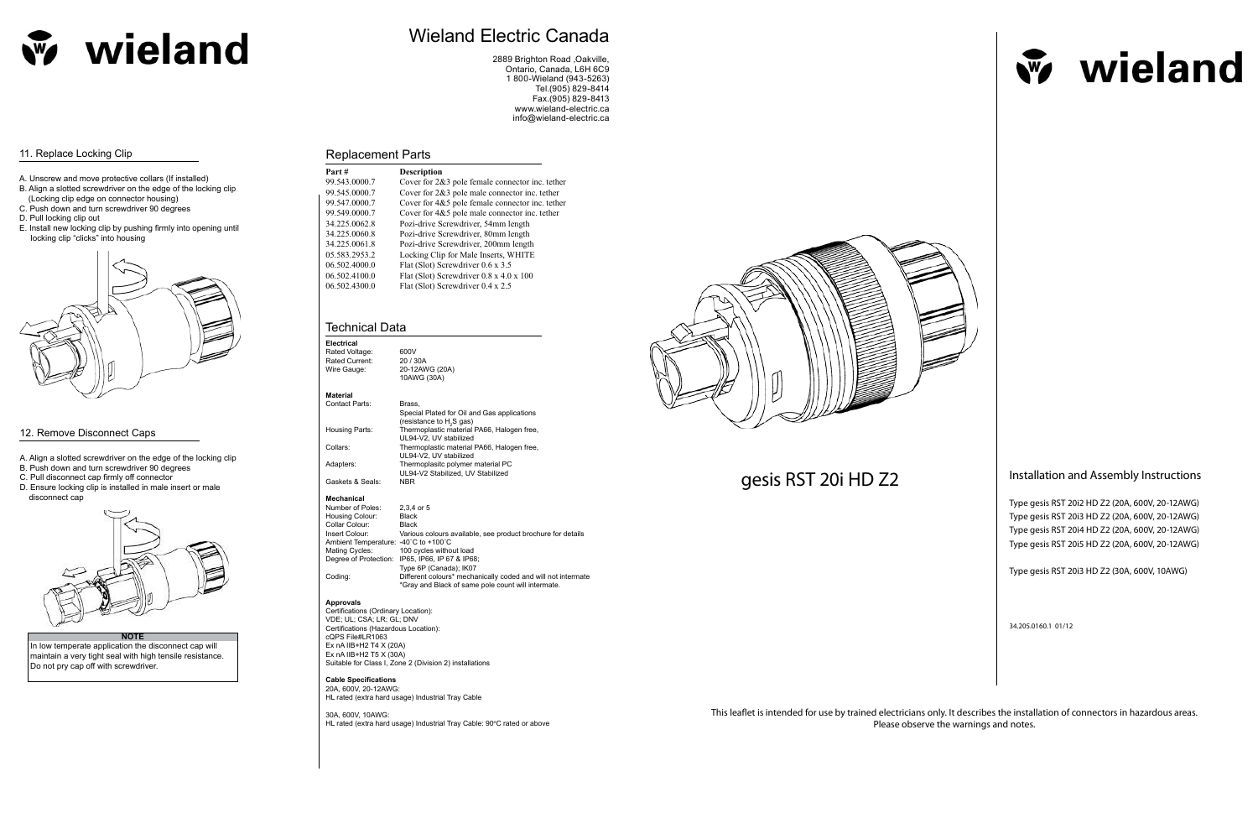Type gesis RST 20i2 HD Z2 (20A, 600V, 20-12AWG) Type gesis RST 20i3 HD Z2 (20A, 600V, 20-12AWG) Type gesis RST 20i4 HD Z2 (20A, 600V, 20-12AWG) Type gesis RST 20i5 HD Z2 (20A, 600V, 20-12AWG)

Type gesis RST 20i3 HD Z2 (30A, 600V, 10AWG)

34.205.0160.1 01/12

This leaflet is intended for use by trained electricians only. It describes the installation of connectors in hazardous areas. Please observe the warnings and notes.

## Technical Data

Coding: Different colours\* mechanically coded and will not intermate \*Gray and Black of same pole count will intermate.

30A, 600V, 10AWG: HL rated (extra hard usage) Industrial Tray Cable: 90°C rated or above



# gesis RST 20i HD Z2 **Installation and Assembly Instructions**

| Electrical                           |                                                             |
|--------------------------------------|-------------------------------------------------------------|
| Rated Voltage:                       | 600V                                                        |
| Rated Current:                       | 20 / 30A                                                    |
| Wire Gauge:                          | 20-12AWG (20A)                                              |
|                                      | 10AWG (30A)                                                 |
| <b>Material</b>                      |                                                             |
| <b>Contact Parts:</b>                | Brass,                                                      |
|                                      | Special Plated for Oil and Gas applications                 |
|                                      | (resistance to H <sub>2</sub> S gas)                        |
| Housing Parts:                       | Thermoplastic material PA66, Halogen free,                  |
|                                      | UL94-V2, UV stabilized                                      |
| Collars:                             | Thermoplastic material PA66, Halogen free,                  |
|                                      | UL94-V2, UV stabilized                                      |
| Adapters:                            | Thermoplasitc polymer material PC                           |
|                                      | UL94-V2 Stabilized, UV Stabilized                           |
| Gaskets & Seals:                     | <b>NBR</b>                                                  |
| <b>Mechanical</b>                    |                                                             |
| Number of Poles:                     | 2,3,4 or 5                                                  |
| Housing Colour:                      | Black                                                       |
| Collar Colour:                       | Black                                                       |
| Insert Colour:                       | Various colours available, see product brochure for details |
| Ambient Temperature: -40°C to +100°C |                                                             |
| Mating Cycles:                       | 100 cycles without load                                     |
| Degree of Protection:                | IP65, IP66, IP67 & IP68;                                    |
|                                      | Type 6P (Canada); IK07                                      |
| Codina:                              | Different colours* mechanically coded and will not interma  |

### **Approvals**

Certifications (Ordinary Location): VDE; UL; CSA; LR; GL; DNV Certifications (Hazardous Location): cQPS File#LR1063 Ex nA IIB+H2 T4 X (20A) Ex nA IIB+H2 T5 X (30A) Suitable for Class I, Zone 2 (Division 2) installations

In low temperate application the disconnect cap will maintain a very tight seal with high tensile resistance. Do not pry cap off with screwdriver.



w wieland

**Cable Specifications** 20A, 600V, 20-12AWG:

HL rated (extra hard usage) Industrial Tray Cable

## Replacement Parts

| Part #        | <b>Description</b>                                  |
|---------------|-----------------------------------------------------|
| 99.543.0000.7 | Cover for $2\&3$ pole female connector inc. tether  |
| 99.545.0000.7 | Cover for $2\&3$ pole male connector inc. tether    |
| 99.547.0000.7 | Cover for 4&5 pole female connector inc. tether     |
| 99.549.0000.7 | Cover for $4&5$ pole male connector inc. tether     |
| 34.225.0062.8 | Pozi-drive Screwdriver, 54mm length                 |
| 34.225.0060.8 | Pozi-drive Screwdriver, 80mm length                 |
| 34.225.0061.8 | Pozi-drive Screwdriver, 200mm length                |
| 05.583.2953.2 | Locking Clip for Male Inserts, WHITE                |
| 06.502.4000.0 | Flat (Slot) Screwdriver 0.6 x 3.5                   |
| 06.502.4100.0 | Flat (Slot) Screwdriver $0.8 \times 4.0 \times 100$ |
| 06.502.4300.0 | Flat (Slot) Screwdriver 0.4 x 2.5                   |



# Wieland Electric Canada

2889 Brighton Road ,Oakville, Ontario, Canada, L6H 6C9 1 800-Wieland (943-5263) Tel.(905) 829-8414 Fax.(905) 829-8413 www.wieland-electric.ca info@wieland-electric.ca

## 11. Replace Locking Clip

- A. Unscrew and move protective collars (If installed)
- B. Align a slotted screwdriver on the edge of the locking clip (Locking clip edge on connector housing)
- C. Push down and turn screwdriver 90 degrees
- D. Pull locking clip out
- E. Install new locking clip by pushing firmly into opening until locking clip "clicks" into housing



## 12. Remove Disconnect Caps

- A. Align a slotted screwdriver on the edge of the locking clip
- B. Push down and turn screwdriver 90 degrees
- C. Pull disconnect cap firmly off connector
- D. Ensure locking clip is installed in male insert or male disconnect cap